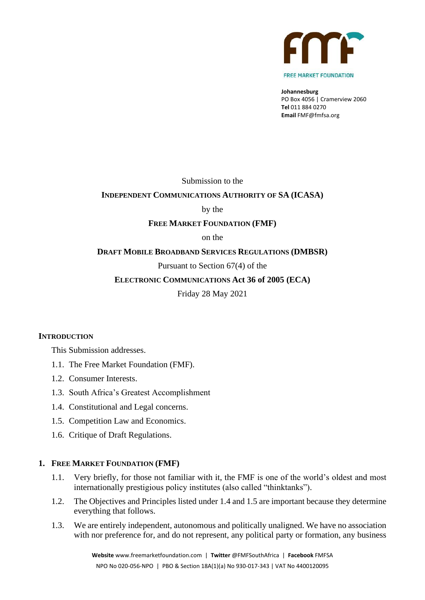

**Johannesburg** PO Box 4056 | Cramerview 2060 **Tel** 011 884 0270 **Email** FMF@fmfsa.org

Submission to the

### **INDEPENDENT COMMUNICATIONS AUTHORITY OF SA (ICASA)**

by the

#### **FREE MARKET FOUNDATION (FMF)**

on the

#### **DRAFT MOBILE BROADBAND SERVICES REGULATIONS (DMBSR)**

#### Pursuant to Section 67(4) of the

#### **ELECTRONIC COMMUNICATIONS Act 36 of 2005 (ECA)**

Friday 28 May 2021

#### **INTRODUCTION**

This Submission addresses.

- 1.1. The Free Market Foundation (FMF).
- 1.2. Consumer Interests.
- 1.3. South Africa's Greatest Accomplishment
- 1.4. Constitutional and Legal concerns.
- 1.5. Competition Law and Economics.
- 1.6. Critique of Draft Regulations.

#### **1. FREE MARKET FOUNDATION (FMF)**

- 1.1. Very briefly, for those not familiar with it, the FMF is one of the world's oldest and most internationally prestigious policy institutes (also called "thinktanks").
- 1.2. The Objectives and Principles listed under 1.4 and 1.5 are important because they determine everything that follows.
- 1.3. We are entirely independent, autonomous and politically unaligned. We have no association with nor preference for, and do not represent, any political party or formation, any business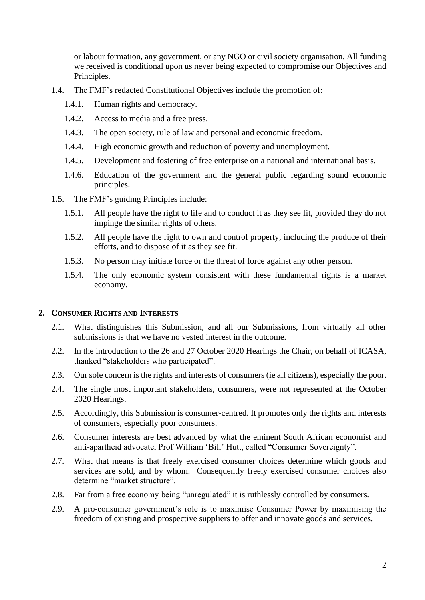or labour formation, any government, or any NGO or civil society organisation. All funding we received is conditional upon us never being expected to compromise our Objectives and Principles.

- 1.4. The FMF's redacted Constitutional Objectives include the promotion of:
	- 1.4.1. Human rights and democracy.
	- 1.4.2. Access to media and a free press.
	- 1.4.3. The open society, rule of law and personal and economic freedom.
	- 1.4.4. High economic growth and reduction of poverty and unemployment.
	- 1.4.5. Development and fostering of free enterprise on a national and international basis.
	- 1.4.6. Education of the government and the general public regarding sound economic principles.
- 1.5. The FMF's guiding Principles include:
	- 1.5.1. All people have the right to life and to conduct it as they see fit, provided they do not impinge the similar rights of others.
	- 1.5.2. All people have the right to own and control property, including the produce of their efforts, and to dispose of it as they see fit.
	- 1.5.3. No person may initiate force or the threat of force against any other person.
	- 1.5.4. The only economic system consistent with these fundamental rights is a market economy.

#### **2. CONSUMER RIGHTS AND INTERESTS**

- 2.1. What distinguishes this Submission, and all our Submissions, from virtually all other submissions is that we have no vested interest in the outcome.
- 2.2. In the introduction to the 26 and 27 October 2020 Hearings the Chair, on behalf of ICASA, thanked "stakeholders who participated".
- 2.3. Our sole concern is the rights and interests of consumers (ie all citizens), especially the poor.
- 2.4. The single most important stakeholders, consumers, were not represented at the October 2020 Hearings.
- 2.5. Accordingly, this Submission is consumer-centred. It promotes only the rights and interests of consumers, especially poor consumers.
- 2.6. Consumer interests are best advanced by what the eminent South African economist and anti-apartheid advocate, Prof William 'Bill' Hutt, called "Consumer Sovereignty".
- 2.7. What that means is that freely exercised consumer choices determine which goods and services are sold, and by whom. Consequently freely exercised consumer choices also determine "market structure".
- 2.8. Far from a free economy being "unregulated" it is ruthlessly controlled by consumers.
- 2.9. A pro-consumer government's role is to maximise Consumer Power by maximising the freedom of existing and prospective suppliers to offer and innovate goods and services.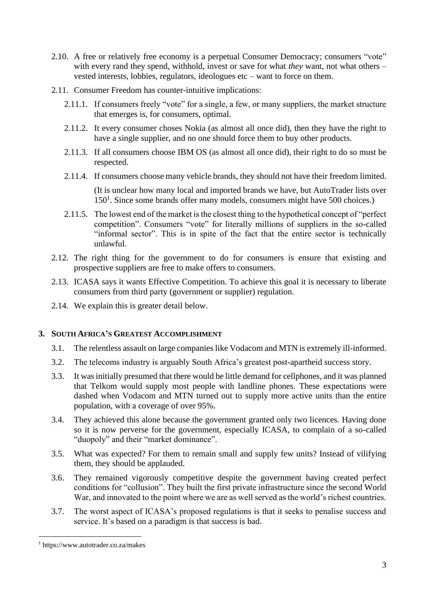- 2.10. A free or relatively free economy is a perpetual Consumer Democracy; consumers "vote" with every rand they spend, withhold, invest or save for what *they* want, not what others – vested interests, lobbies, regulators, ideologues etc – want to force on them.
- 2.11. Consumer Freedom has counter-intuitive implications:
	- 2.11.1. If consumers freely "vote" for a single, a few, or many suppliers, the market structure that emerges is, for consumers, optimal.
	- 2.11.2. It every consumer choses Nokia (as almost all once did), then they have the right to have a single supplier, and no one should force them to buy other products.
	- 2.11.3. If all consumers choose IBM OS (as almost all once did), their right to do so must be respected.
	- 2.11.4. If consumers choose many vehicle brands, they should not have their freedom limited.

(It is unclear how many local and imported brands we have, but AutoTrader lists over 150<sup>1</sup>. Since some brands offer many models, consumers might have 500 choices.)

- 2.11.5. The lowest end of the market is the closest thing to the hypothetical concept of "perfect competition". Consumers "vote" for literally millions of suppliers in the so-called "informal sector". This is in spite of the fact that the entire sector is technically unlawful.
- 2.12. The right thing for the government to do for consumers is ensure that existing and prospective suppliers are free to make offers to consumers.
- 2.13. ICASA says it wants Effective Competition. To achieve this goal it is necessary to liberate consumers from third party (government or supplier) regulation.
- 2.14. We explain this is greater detail below.

## **3. SOUTH AFRICA'S GREATEST ACCOMPLISHMENT**

- 3.1. The relentless assault on large companies like Vodacom and MTN is extremely ill-informed.
- 3.2. The telecoms industry is arguably South Africa's greatest post-apartheid success story.
- 3.3. It was initially presumed that there would be little demand for cellphones, and it was planned that Telkom would supply most people with landline phones. These expectations were dashed when Vodacom and MTN turned out to supply more active units than the entire population, with a coverage of over 95%.
- 3.4. They achieved this alone because the government granted only two licences. Having done so it is now perverse for the government, especially ICASA, to complain of a so-called "duopoly" and their "market dominance".
- 3.5. What was expected? For them to remain small and supply few units? Instead of vilifying them, they should be applauded.
- 3.6. They remained vigorously competitive despite the government having created perfect conditions for "collusion". They built the first private infrastructure since the second World War, and innovated to the point where we are as well served as the world's richest countries.
- 3.7. The worst aspect of ICASA's proposed regulations is that it seeks to penalise success and service. It's based on a paradigm is that success is bad.

<sup>1</sup> https://www.autotrader.co.za/makes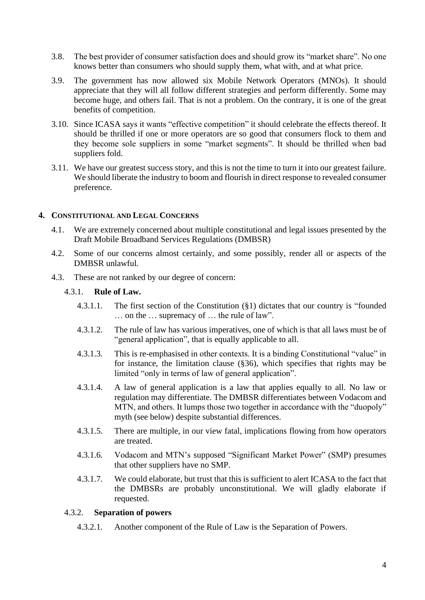- 3.8. The best provider of consumer satisfaction does and should grow its "market share". No one knows better than consumers who should supply them, what with, and at what price.
- 3.9. The government has now allowed six Mobile Network Operators (MNOs). It should appreciate that they will all follow different strategies and perform differently. Some may become huge, and others fail. That is not a problem. On the contrary, it is one of the great benefits of competition.
- 3.10. Since ICASA says it wants "effective competition" it should celebrate the effects thereof. It should be thrilled if one or more operators are so good that consumers flock to them and they become sole suppliers in some "market segments". It should be thrilled when bad suppliers fold.
- 3.11. We have our greatest success story, and this is not the time to turn it into our greatest failure. We should liberate the industry to boom and flourish in direct response to revealed consumer preference.

## **4. CONSTITUTIONAL AND LEGAL CONCERNS**

- 4.1. We are extremely concerned about multiple constitutional and legal issues presented by the Draft Mobile Broadband Services Regulations (DMBSR)
- 4.2. Some of our concerns almost certainly, and some possibly, render all or aspects of the DMBSR unlawful.
- 4.3. These are not ranked by our degree of concern:
	- 4.3.1. **Rule of Law.**
		- 4.3.1.1. The first section of the Constitution (§1) dictates that our country is "founded … on the … supremacy of … the rule of law".
		- 4.3.1.2. The rule of law has various imperatives, one of which is that all laws must be of "general application", that is equally applicable to all.
		- 4.3.1.3. This is re-emphasised in other contexts. It is a binding Constitutional "value" in for instance, the limitation clause (§36), which specifies that rights may be limited "only in terms of law of general application".
		- 4.3.1.4. A law of general application is a law that applies equally to all. No law or regulation may differentiate. The DMBSR differentiates between Vodacom and MTN, and others. It lumps those two together in accordance with the "duopoly" myth (see below) despite substantial differences.
		- 4.3.1.5. There are multiple, in our view fatal, implications flowing from how operators are treated.
		- 4.3.1.6. Vodacom and MTN's supposed "Significant Market Power" (SMP) presumes that other suppliers have no SMP.
		- 4.3.1.7. We could elaborate, but trust that this is sufficient to alert ICASA to the fact that the DMBSRs are probably unconstitutional. We will gladly elaborate if requested.

## 4.3.2. **Separation of powers**

4.3.2.1. Another component of the Rule of Law is the Separation of Powers.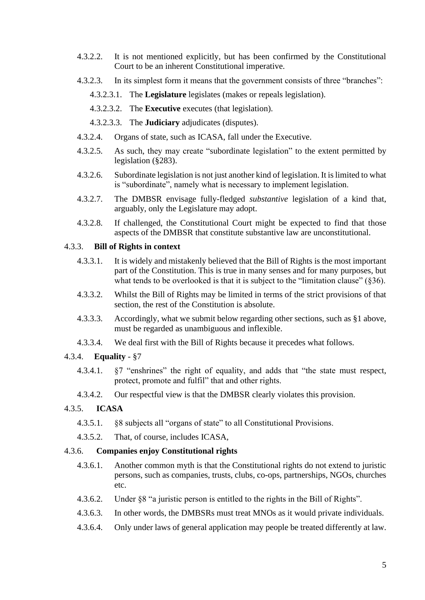- 4.3.2.2. It is not mentioned explicitly, but has been confirmed by the Constitutional Court to be an inherent Constitutional imperative.
- 4.3.2.3. In its simplest form it means that the government consists of three "branches":
	- 4.3.2.3.1. The **Legislature** legislates (makes or repeals legislation).
	- 4.3.2.3.2. The **Executive** executes (that legislation).
	- 4.3.2.3.3. The **Judiciary** adjudicates (disputes).
- 4.3.2.4. Organs of state, such as ICASA, fall under the Executive.
- 4.3.2.5. As such, they may create "subordinate legislation" to the extent permitted by legislation (§283).
- 4.3.2.6. Subordinate legislation is not just another kind of legislation. It is limited to what is "subordinate", namely what is necessary to implement legislation.
- 4.3.2.7. The DMBSR envisage fully-fledged *substantive* legislation of a kind that, arguably, only the Legislature may adopt.
- 4.3.2.8. If challenged, the Constitutional Court might be expected to find that those aspects of the DMBSR that constitute substantive law are unconstitutional.

### 4.3.3. **Bill of Rights in context**

- 4.3.3.1. It is widely and mistakenly believed that the Bill of Rights is the most important part of the Constitution. This is true in many senses and for many purposes, but what tends to be overlooked is that it is subject to the "limitation clause"  $(\S 36)$ .
- 4.3.3.2. Whilst the Bill of Rights may be limited in terms of the strict provisions of that section, the rest of the Constitution is absolute.
- 4.3.3.3. Accordingly, what we submit below regarding other sections, such as §1 above, must be regarded as unambiguous and inflexible.
- 4.3.3.4. We deal first with the Bill of Rights because it precedes what follows.

### 4.3.4. **Equality** - §7

- 4.3.4.1. §7 "enshrines" the right of equality, and adds that "the state must respect, protect, promote and fulfil" that and other rights.
- 4.3.4.2. Our respectful view is that the DMBSR clearly violates this provision.

#### 4.3.5. **ICASA**

- 4.3.5.1. §8 subjects all "organs of state" to all Constitutional Provisions.
- 4.3.5.2. That, of course, includes ICASA,

### 4.3.6. **Companies enjoy Constitutional rights**

- 4.3.6.1. Another common myth is that the Constitutional rights do not extend to juristic persons, such as companies, trusts, clubs, co-ops, partnerships, NGOs, churches etc.
- 4.3.6.2. Under §8 "a juristic person is entitled to the rights in the Bill of Rights".
- 4.3.6.3. In other words, the DMBSRs must treat MNOs as it would private individuals.
- 4.3.6.4. Only under laws of general application may people be treated differently at law.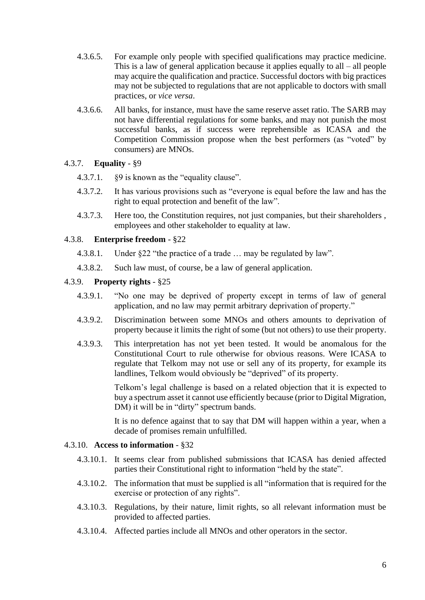- 4.3.6.5. For example only people with specified qualifications may practice medicine. This is a law of general application because it applies equally to all – all people may acquire the qualification and practice. Successful doctors with big practices may not be subjected to regulations that are not applicable to doctors with small practices, or *vice versa*.
- 4.3.6.6. All banks, for instance, must have the same reserve asset ratio. The SARB may not have differential regulations for some banks, and may not punish the most successful banks, as if success were reprehensible as ICASA and the Competition Commission propose when the best performers (as "voted" by consumers) are MNOs.

## 4.3.7. **Equality** - §9

- 4.3.7.1. §9 is known as the "equality clause".
- 4.3.7.2. It has various provisions such as "everyone is equal before the law and has the right to equal protection and benefit of the law".
- 4.3.7.3. Here too, the Constitution requires, not just companies, but their shareholders , employees and other stakeholder to equality at law.

## 4.3.8. **Enterprise freedom** - §22

- 4.3.8.1. Under §22 "the practice of a trade … may be regulated by law".
- 4.3.8.2. Such law must, of course, be a law of general application.

## 4.3.9. **Property rights** - §25

- 4.3.9.1. "No one may be deprived of property except in terms of law of general application, and no law may permit arbitrary deprivation of property."
- 4.3.9.2. Discrimination between some MNOs and others amounts to deprivation of property because it limits the right of some (but not others) to use their property.
- 4.3.9.3. This interpretation has not yet been tested. It would be anomalous for the Constitutional Court to rule otherwise for obvious reasons. Were ICASA to regulate that Telkom may not use or sell any of its property, for example its landlines, Telkom would obviously be "deprived" of its property.

Telkom's legal challenge is based on a related objection that it is expected to buy a spectrum asset it cannot use efficiently because (prior to Digital Migration, DM) it will be in "dirty" spectrum bands.

It is no defence against that to say that DM will happen within a year, when a decade of promises remain unfulfilled.

### 4.3.10. **Access to information** - §32

- 4.3.10.1. It seems clear from published submissions that ICASA has denied affected parties their Constitutional right to information "held by the state".
- 4.3.10.2. The information that must be supplied is all "information that is required for the exercise or protection of any rights".
- 4.3.10.3. Regulations, by their nature, limit rights, so all relevant information must be provided to affected parties.
- 4.3.10.4. Affected parties include all MNOs and other operators in the sector.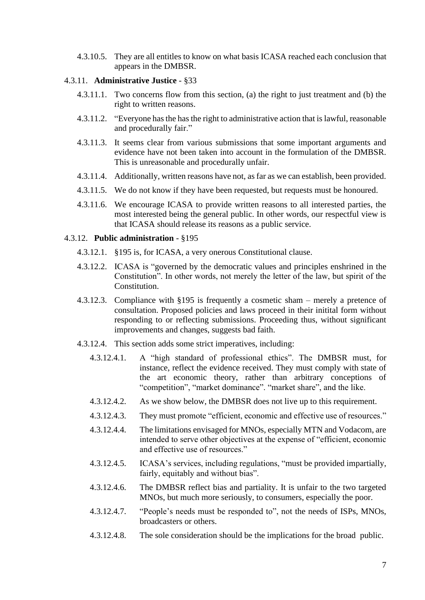4.3.10.5. They are all entitles to know on what basis ICASA reached each conclusion that appears in the DMBSR.

### 4.3.11. **Administrative Justice** - §33

- 4.3.11.1. Two concerns flow from this section, (a) the right to just treatment and (b) the right to written reasons.
- 4.3.11.2. "Everyone has the has the right to administrative action that is lawful, reasonable and procedurally fair."
- 4.3.11.3. It seems clear from various submissions that some important arguments and evidence have not been taken into account in the formulation of the DMBSR. This is unreasonable and procedurally unfair.
- 4.3.11.4. Additionally, written reasons have not, as far as we can establish, been provided.
- 4.3.11.5. We do not know if they have been requested, but requests must be honoured.
- 4.3.11.6. We encourage ICASA to provide written reasons to all interested parties, the most interested being the general public. In other words, our respectful view is that ICASA should release its reasons as a public service.

#### 4.3.12. **Public administration** - §195

- 4.3.12.1. §195 is, for ICASA, a very onerous Constitutional clause.
- 4.3.12.2. ICASA is "governed by the democratic values and principles enshrined in the Constitution". In other words, not merely the letter of the law, but spirit of the Constitution.
- 4.3.12.3. Compliance with §195 is frequently a cosmetic sham merely a pretence of consultation. Proposed policies and laws proceed in their initital form without responding to or reflecting submissions. Proceeding thus, without significant improvements and changes, suggests bad faith.
- 4.3.12.4. This section adds some strict imperatives, including:
	- 4.3.12.4.1. A "high standard of professional ethics". The DMBSR must, for instance, reflect the evidence received. They must comply with state of the art economic theory, rather than arbitrary conceptions of "competition", "market dominance". "market share", and the like.
	- 4.3.12.4.2. As we show below, the DMBSR does not live up to this requirement.
	- 4.3.12.4.3. They must promote "efficient, economic and effective use of resources."
	- 4.3.12.4.4. The limitations envisaged for MNOs, especially MTN and Vodacom, are intended to serve other objectives at the expense of "efficient, economic and effective use of resources."
	- 4.3.12.4.5. ICASA's services, including regulations, "must be provided impartially, fairly, equitably and without bias".
	- 4.3.12.4.6. The DMBSR reflect bias and partiality. It is unfair to the two targeted MNOs, but much more seriously, to consumers, especially the poor.
	- 4.3.12.4.7. "People's needs must be responded to", not the needs of ISPs, MNOs, broadcasters or others.
	- 4.3.12.4.8. The sole consideration should be the implications for the broad public.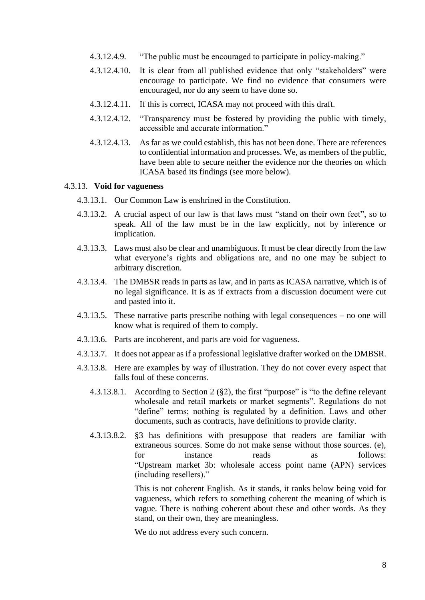- 4.3.12.4.9. "The public must be encouraged to participate in policy-making."
- 4.3.12.4.10. It is clear from all published evidence that only "stakeholders" were encourage to participate. We find no evidence that consumers were encouraged, nor do any seem to have done so.
- 4.3.12.4.11. If this is correct, ICASA may not proceed with this draft.
- 4.3.12.4.12. "Transparency must be fostered by providing the public with timely, accessible and accurate information."
- 4.3.12.4.13. As far as we could establish, this has not been done. There are references to confidential information and processes. We, as members of the public, have been able to secure neither the evidence nor the theories on which ICASA based its findings (see more below).

#### 4.3.13. **Void for vagueness**

- 4.3.13.1. Our Common Law is enshrined in the Constitution.
- 4.3.13.2. A crucial aspect of our law is that laws must "stand on their own feet", so to speak. All of the law must be in the law explicitly, not by inference or implication.
- 4.3.13.3. Laws must also be clear and unambiguous. It must be clear directly from the law what everyone's rights and obligations are, and no one may be subject to arbitrary discretion.
- 4.3.13.4. The DMBSR reads in parts as law, and in parts as ICASA narrative, which is of no legal significance. It is as if extracts from a discussion document were cut and pasted into it.
- 4.3.13.5. These narrative parts prescribe nothing with legal consequences no one will know what is required of them to comply.
- 4.3.13.6. Parts are incoherent, and parts are void for vagueness.
- 4.3.13.7. It does not appear as if a professional legislative drafter worked on the DMBSR.
- 4.3.13.8. Here are examples by way of illustration. They do not cover every aspect that falls foul of these concerns.
	- 4.3.13.8.1. According to Section 2 (§2), the first "purpose" is "to the define relevant wholesale and retail markets or market segments". Regulations do not "define" terms; nothing is regulated by a definition. Laws and other documents, such as contracts, have definitions to provide clarity.
	- 4.3.13.8.2. §3 has definitions with presuppose that readers are familiar with extraneous sources. Some do not make sense without those sources. (e), for instance reads as follows: "Upstream market 3b: wholesale access point name (APN) services (including resellers)."

This is not coherent English. As it stands, it ranks below being void for vagueness, which refers to something coherent the meaning of which is vague. There is nothing coherent about these and other words. As they stand, on their own, they are meaningless.

We do not address every such concern.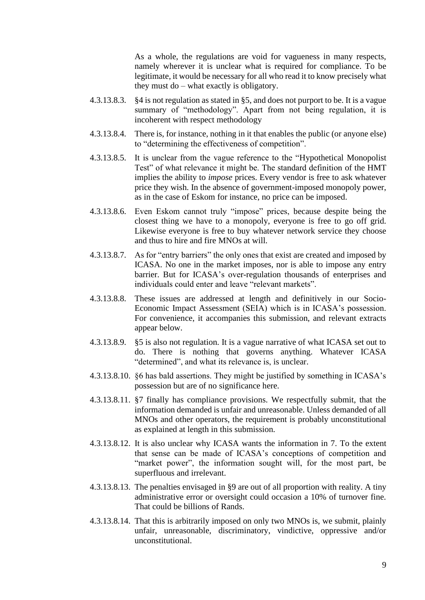As a whole, the regulations are void for vagueness in many respects, namely wherever it is unclear what is required for compliance. To be legitimate, it would be necessary for all who read it to know precisely what they must do – what exactly is obligatory.

- 4.3.13.8.3. §4 is not regulation as stated in §5, and does not purport to be. It is a vague summary of "methodology". Apart from not being regulation, it is incoherent with respect methodology
- 4.3.13.8.4. There is, for instance, nothing in it that enables the public (or anyone else) to "determining the effectiveness of competition".
- 4.3.13.8.5. It is unclear from the vague reference to the "Hypothetical Monopolist Test" of what relevance it might be. The standard definition of the HMT implies the ability to *impose* prices. Every vendor is free to ask whatever price they wish. In the absence of government-imposed monopoly power, as in the case of Eskom for instance, no price can be imposed.
- 4.3.13.8.6. Even Eskom cannot truly "impose" prices, because despite being the closest thing we have to a monopoly, everyone is free to go off grid. Likewise everyone is free to buy whatever network service they choose and thus to hire and fire MNOs at will.
- 4.3.13.8.7. As for "entry barriers" the only ones that exist are created and imposed by ICASA. No one in the market imposes, nor is able to impose any entry barrier. But for ICASA's over-regulation thousands of enterprises and individuals could enter and leave "relevant markets".
- 4.3.13.8.8. These issues are addressed at length and definitively in our Socio-Economic Impact Assessment (SEIA) which is in ICASA's possession. For convenience, it accompanies this submission, and relevant extracts appear below.
- 4.3.13.8.9. §5 is also not regulation. It is a vague narrative of what ICASA set out to do. There is nothing that governs anything. Whatever ICASA "determined", and what its relevance is, is unclear.
- 4.3.13.8.10. §6 has bald assertions. They might be justified by something in ICASA's possession but are of no significance here.
- 4.3.13.8.11. §7 finally has compliance provisions. We respectfully submit, that the information demanded is unfair and unreasonable. Unless demanded of all MNOs and other operators, the requirement is probably unconstitutional as explained at length in this submission.
- 4.3.13.8.12. It is also unclear why ICASA wants the information in 7. To the extent that sense can be made of ICASA's conceptions of competition and "market power", the information sought will, for the most part, be superfluous and irrelevant.
- 4.3.13.8.13. The penalties envisaged in §9 are out of all proportion with reality. A tiny administrative error or oversight could occasion a 10% of turnover fine. That could be billions of Rands.
- 4.3.13.8.14. That this is arbitrarily imposed on only two MNOs is, we submit, plainly unfair, unreasonable, discriminatory, vindictive, oppressive and/or unconstitutional.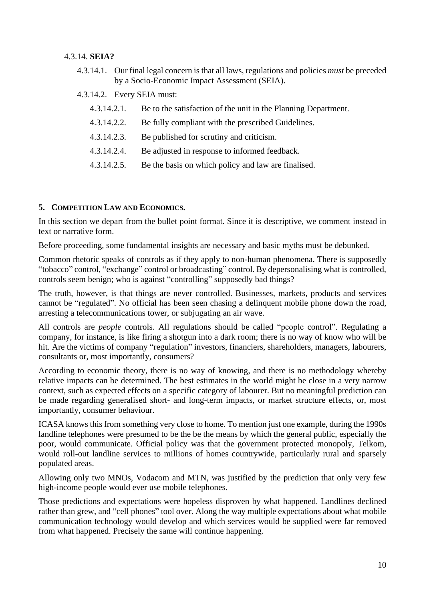## 4.3.14. **SEIA?**

4.3.14.1. Our final legal concern is that all laws, regulations and policies *must* be preceded by a Socio-Economic Impact Assessment (SEIA).

## 4.3.14.2. Every SEIA must:

- 4.3.14.2.1. Be to the satisfaction of the unit in the Planning Department.
- 4.3.14.2.2. Be fully compliant with the prescribed Guidelines.
- 4.3.14.2.3. Be published for scrutiny and criticism.
- 4.3.14.2.4. Be adjusted in response to informed feedback.
- 4.3.14.2.5. Be the basis on which policy and law are finalised.

# **5. COMPETITION LAW AND ECONOMICS.**

In this section we depart from the bullet point format. Since it is descriptive, we comment instead in text or narrative form.

Before proceeding, some fundamental insights are necessary and basic myths must be debunked.

Common rhetoric speaks of controls as if they apply to non-human phenomena. There is supposedly "tobacco" control, "exchange" control or broadcasting" control. By depersonalising what is controlled, controls seem benign; who is against "controlling" supposedly bad things?

The truth, however, is that things are never controlled. Businesses, markets, products and services cannot be "regulated". No official has been seen chasing a delinquent mobile phone down the road, arresting a telecommunications tower, or subjugating an air wave.

All controls are *people* controls. All regulations should be called "people control". Regulating a company, for instance, is like firing a shotgun into a dark room; there is no way of know who will be hit. Are the victims of company "regulation" investors, financiers, shareholders, managers, labourers, consultants or, most importantly, consumers?

According to economic theory, there is no way of knowing, and there is no methodology whereby relative impacts can be determined. The best estimates in the world might be close in a very narrow context, such as expected effects on a specific category of labourer. But no meaningful prediction can be made regarding generalised short- and long-term impacts, or market structure effects, or, most importantly, consumer behaviour.

ICASA knows this from something very close to home. To mention just one example, during the 1990s landline telephones were presumed to be the be the means by which the general public, especially the poor, would communicate. Official policy was that the government protected monopoly, Telkom, would roll-out landline services to millions of homes countrywide, particularly rural and sparsely populated areas.

Allowing only two MNOs, Vodacom and MTN, was justified by the prediction that only very few high-income people would ever use mobile telephones.

Those predictions and expectations were hopeless disproven by what happened. Landlines declined rather than grew, and "cell phones" tool over. Along the way multiple expectations about what mobile communication technology would develop and which services would be supplied were far removed from what happened. Precisely the same will continue happening.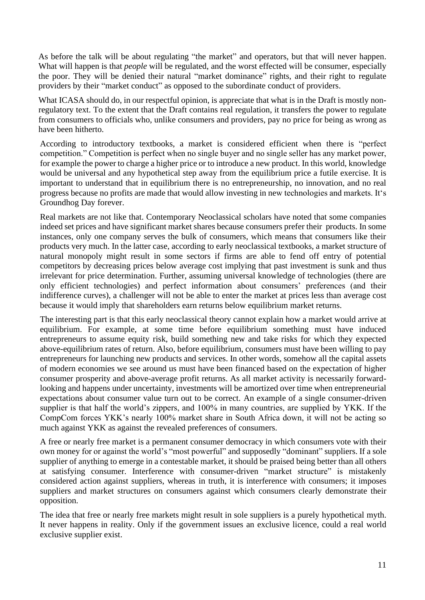As before the talk will be about regulating "the market" and operators, but that will never happen. What will happen is that *people* will be regulated, and the worst effected will be consumer, especially the poor. They will be denied their natural "market dominance" rights, and their right to regulate providers by their "market conduct" as opposed to the subordinate conduct of providers.

What ICASA should do, in our respectful opinion, is appreciate that what is in the Draft is mostly nonregulatory text. To the extent that the Draft contains real regulation, it transfers the power to regulate from consumers to officials who, unlike consumers and providers, pay no price for being as wrong as have been hitherto.

According to introductory textbooks, a market is considered efficient when there is "perfect competition." Competition is perfect when no single buyer and no single seller has any market power, for example the power to charge a higher price or to introduce a new product. In this world, knowledge would be universal and any hypothetical step away from the equilibrium price a futile exercise. It is important to understand that in equilibrium there is no entrepreneurship, no innovation, and no real progress because no profits are made that would allow investing in new technologies and markets. It's Groundhog Day forever.

Real markets are not like that. Contemporary Neoclassical scholars have noted that some companies indeed set prices and have significant market shares because consumers prefer their products. In some instances, only one company serves the bulk of consumers, which means that consumers like their products very much. In the latter case, according to early neoclassical textbooks, a market structure of natural monopoly might result in some sectors if firms are able to fend off entry of potential competitors by decreasing prices below average cost implying that past investment is sunk and thus irrelevant for price determination. Further, assuming universal knowledge of technologies (there are only efficient technologies) and perfect information about consumers' preferences (and their indifference curves), a challenger will not be able to enter the market at prices less than average cost because it would imply that shareholders earn returns below equilibrium market returns.

The interesting part is that this early neoclassical theory cannot explain how a market would arrive at equilibrium. For example, at some time before equilibrium something must have induced entrepreneurs to assume equity risk, build something new and take risks for which they expected above-equilibrium rates of return. Also, before equilibrium, consumers must have been willing to pay entrepreneurs for launching new products and services. In other words, somehow all the capital assets of modern economies we see around us must have been financed based on the expectation of higher consumer prosperity and above-average profit returns. As all market activity is necessarily forwardlooking and happens under uncertainty, investments will be amortized over time when entrepreneurial expectations about consumer value turn out to be correct. An example of a single consumer-driven supplier is that half the world's zippers, and 100% in many countries, are supplied by YKK. If the CompCom forces YKK's nearly 100% market share in South Africa down, it will not be acting so much against YKK as against the revealed preferences of consumers.

A free or nearly free market is a permanent consumer democracy in which consumers vote with their own money for or against the world's "most powerful" and supposedly "dominant" suppliers. If a sole supplier of anything to emerge in a contestable market, it should be praised being better than all others at satisfying consumer. Interference with consumer-driven "market structure" is mistakenly considered action against suppliers, whereas in truth, it is interference with consumers; it imposes suppliers and market structures on consumers against which consumers clearly demonstrate their opposition.

The idea that free or nearly free markets might result in sole suppliers is a purely hypothetical myth. It never happens in reality. Only if the government issues an exclusive licence, could a real world exclusive supplier exist.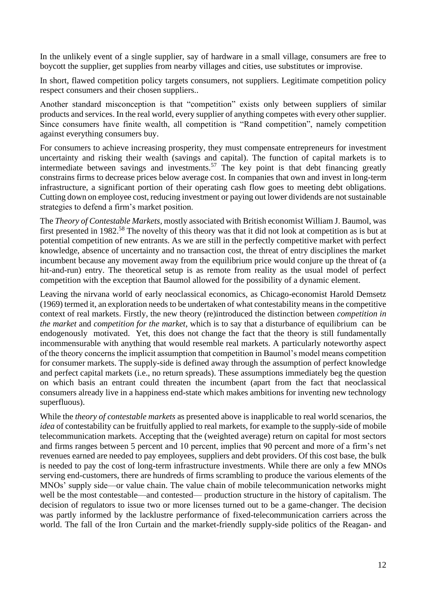In the unlikely event of a single supplier, say of hardware in a small village, consumers are free to boycott the supplier, get supplies from nearby villages and cities, use substitutes or improvise.

In short, flawed competition policy targets consumers, not suppliers. Legitimate competition policy respect consumers and their chosen suppliers..

Another standard misconception is that "competition" exists only between suppliers of similar products and services. In the real world, every supplier of anything competes with every other supplier. Since consumers have finite wealth, all competition is "Rand competition", namely competition against everything consumers buy.

For consumers to achieve increasing prosperity, they must compensate entrepreneurs for investment uncertainty and risking their wealth (savings and capital). The function of capital markets is to intermediate between savings and investments.<sup>57</sup> The key point is that debt financing greatly constrains firms to decrease prices below average cost. In companies that own and invest in long-term infrastructure, a significant portion of their operating cash flow goes to meeting debt obligations. Cutting down on employee cost, reducing investment or paying out lower dividends are not sustainable strategies to defend a firm's market position.

The *Theory of Contestable Markets*, mostly associated with British economist William J. Baumol, was first presented in 1982.<sup>58</sup> The novelty of this theory was that it did not look at competition as is but at potential competition of new entrants. As we are still in the perfectly competitive market with perfect knowledge, absence of uncertainty and no transaction cost, the threat of entry disciplines the market incumbent because any movement away from the equilibrium price would conjure up the threat of (a hit-and-run) entry. The theoretical setup is as remote from reality as the usual model of perfect competition with the exception that Baumol allowed for the possibility of a dynamic element.

Leaving the nirvana world of early neoclassical economics, as Chicago-economist Harold Demsetz (1969) termed it, an exploration needs to be undertaken of what contestability means in the competitive context of real markets. Firstly, the new theory (re)introduced the distinction between *competition in the market* and *competition for the market*, which is to say that a disturbance of equilibrium can be endogenously motivated. Yet, this does not change the fact that the theory is still fundamentally incommensurable with anything that would resemble real markets. A particularly noteworthy aspect of the theory concerns the implicit assumption that competition in Baumol's model means competition for consumer markets. The supply-side is defined away through the assumption of perfect knowledge and perfect capital markets (i.e., no return spreads). These assumptions immediately beg the question on which basis an entrant could threaten the incumbent (apart from the fact that neoclassical consumers already live in a happiness end-state which makes ambitions for inventing new technology superfluous).

While the *theory of contestable markets* as presented above is inapplicable to real world scenarios, the *idea* of contestability can be fruitfully applied to real markets, for example to the supply-side of mobile telecommunication markets. Accepting that the (weighted average) return on capital for most sectors and firms ranges between 5 percent and 10 percent, implies that 90 percent and more of a firm's net revenues earned are needed to pay employees, suppliers and debt providers. Of this cost base, the bulk is needed to pay the cost of long-term infrastructure investments. While there are only a few MNOs serving end-customers, there are hundreds of firms scrambling to produce the various elements of the MNOs' supply side—or value chain. The value chain of mobile telecommunication networks might well be the most contestable—and contested— production structure in the history of capitalism. The decision of regulators to issue two or more licenses turned out to be a game-changer. The decision was partly informed by the lacklustre performance of fixed-telecommunication carriers across the world. The fall of the Iron Curtain and the market-friendly supply-side politics of the Reagan- and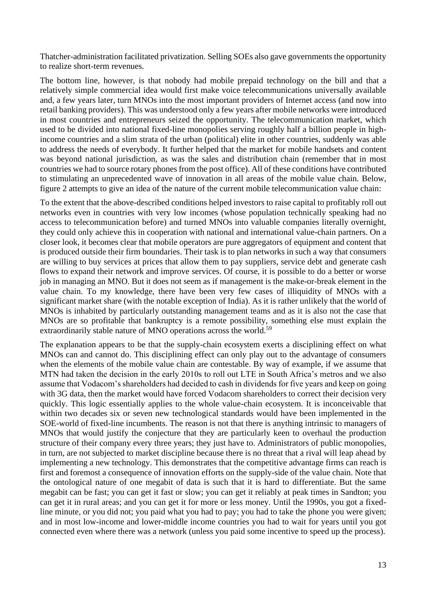Thatcher-administration facilitated privatization. Selling SOEs also gave governments the opportunity to realize short-term revenues.

The bottom line, however, is that nobody had mobile prepaid technology on the bill and that a relatively simple commercial idea would first make voice telecommunications universally available and, a few years later, turn MNOs into the most important providers of Internet access (and now into retail banking providers). This was understood only a few years after mobile networks were introduced in most countries and entrepreneurs seized the opportunity. The telecommunication market, which used to be divided into national fixed-line monopolies serving roughly half a billion people in highincome countries and a slim strata of the urban (political) elite in other countries, suddenly was able to address the needs of everybody. It further helped that the market for mobile handsets and content was beyond national jurisdiction, as was the sales and distribution chain (remember that in most countries we had to source rotary phones from the post office). All of these conditions have contributed to stimulating an unprecedented wave of innovation in all areas of the mobile value chain. Below, figure 2 attempts to give an idea of the nature of the current mobile telecommunication value chain:

To the extent that the above-described conditions helped investors to raise capital to profitably roll out networks even in countries with very low incomes (whose population technically speaking had no access to telecommunication before) and turned MNOs into valuable companies literally overnight, they could only achieve this in cooperation with national and international value-chain partners. On a closer look, it becomes clear that mobile operators are pure aggregators of equipment and content that is produced outside their firm boundaries. Their task is to plan networks in such a way that consumers are willing to buy services at prices that allow them to pay suppliers, service debt and generate cash flows to expand their network and improve services. Of course, it is possible to do a better or worse job in managing an MNO. But it does not seem as if management is the make-or-break element in the value chain. To my knowledge, there have been very few cases of illiquidity of MNOs with a significant market share (with the notable exception of India). As it is rather unlikely that the world of MNOs is inhabited by particularly outstanding management teams and as it is also not the case that MNOs are so profitable that bankruptcy is a remote possibility, something else must explain the extraordinarily stable nature of MNO operations across the world.<sup>59</sup>

The explanation appears to be that the supply-chain ecosystem exerts a disciplining effect on what MNOs can and cannot do. This disciplining effect can only play out to the advantage of consumers when the elements of the mobile value chain are contestable. By way of example, if we assume that MTN had taken the decision in the early 2010s to roll out LTE in South Africa's metros and we also assume that Vodacom's shareholders had decided to cash in dividends for five years and keep on going with 3G data, then the market would have forced Vodacom shareholders to correct their decision very quickly. This logic essentially applies to the whole value-chain ecosystem. It is inconceivable that within two decades six or seven new technological standards would have been implemented in the SOE-world of fixed-line incumbents. The reason is not that there is anything intrinsic to managers of MNOs that would justify the conjecture that they are particularly keen to overhaul the production structure of their company every three years; they just have to. Administrators of public monopolies, in turn, are not subjected to market discipline because there is no threat that a rival will leap ahead by implementing a new technology. This demonstrates that the competitive advantage firms can reach is first and foremost a consequence of innovation efforts on the supply-side of the value chain. Note that the ontological nature of one megabit of data is such that it is hard to differentiate. But the same megabit can be fast; you can get it fast or slow; you can get it reliably at peak times in Sandton; you can get it in rural areas; and you can get it for more or less money. Until the 1990s, you got a fixedline minute, or you did not; you paid what you had to pay; you had to take the phone you were given; and in most low-income and lower-middle income countries you had to wait for years until you got connected even where there was a network (unless you paid some incentive to speed up the process).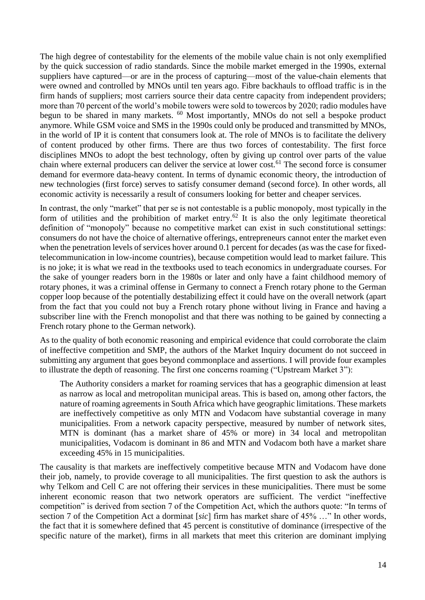The high degree of contestability for the elements of the mobile value chain is not only exemplified by the quick succession of radio standards. Since the mobile market emerged in the 1990s, external suppliers have captured—or are in the process of capturing—most of the value-chain elements that were owned and controlled by MNOs until ten years ago. Fibre backhauls to offload traffic is in the firm hands of suppliers; most carriers source their data centre capacity from independent providers; more than 70 percent of the world's mobile towers were sold to towercos by 2020; radio modules have begun to be shared in many markets. <sup>60</sup> Most importantly, MNOs do not sell a bespoke product anymore. While GSM voice and SMS in the 1990s could only be produced and transmitted by MNOs, in the world of IP it is content that consumers look at. The role of MNOs is to facilitate the delivery of content produced by other firms. There are thus two forces of contestability. The first force disciplines MNOs to adopt the best technology, often by giving up control over parts of the value chain where external producers can deliver the service at lower cost.<sup>61</sup> The second force is consumer demand for evermore data-heavy content. In terms of dynamic economic theory, the introduction of new technologies (first force) serves to satisfy consumer demand (second force). In other words, all economic activity is necessarily a result of consumers looking for better and cheaper services.

In contrast, the only "market" that per se is not contestable is a public monopoly, most typically in the form of utilities and the prohibition of market entry.<sup>62</sup> It is also the only legitimate theoretical definition of "monopoly" because no competitive market can exist in such constitutional settings: consumers do not have the choice of alternative offerings, entrepreneurs cannot enter the market even when the penetration levels of services hover around 0.1 percent for decades (as was the case for fixedtelecommunication in low-income countries), because competition would lead to market failure. This is no joke; it is what we read in the textbooks used to teach economics in undergraduate courses. For the sake of younger readers born in the 1980s or later and only have a faint childhood memory of rotary phones, it was a criminal offense in Germany to connect a French rotary phone to the German copper loop because of the potentially destabilizing effect it could have on the overall network (apart from the fact that you could not buy a French rotary phone without living in France and having a subscriber line with the French monopolist and that there was nothing to be gained by connecting a French rotary phone to the German network).

As to the quality of both economic reasoning and empirical evidence that could corroborate the claim of ineffective competition and SMP, the authors of the Market Inquiry document do not succeed in submitting any argument that goes beyond commonplace and assertions. I will provide four examples to illustrate the depth of reasoning. The first one concerns roaming ("Upstream Market 3"):

The Authority considers a market for roaming services that has a geographic dimension at least as narrow as local and metropolitan municipal areas. This is based on, among other factors, the nature of roaming agreements in South Africa which have geographic limitations. These markets are ineffectively competitive as only MTN and Vodacom have substantial coverage in many municipalities. From a network capacity perspective, measured by number of network sites, MTN is dominant (has a market share of 45% or more) in 34 local and metropolitan municipalities, Vodacom is dominant in 86 and MTN and Vodacom both have a market share exceeding 45% in 15 municipalities.

The causality is that markets are ineffectively competitive because MTN and Vodacom have done their job, namely, to provide coverage to all municipalities. The first question to ask the authors is why Telkom and Cell C are not offering their services in these municipalities. There must be some inherent economic reason that two network operators are sufficient. The verdict "ineffective competition" is derived from section 7 of the Competition Act, which the authors quote: "In terms of section 7 of the Competition Act a dorminat [*sic*] firm has market share of 45% …" In other words, the fact that it is somewhere defined that 45 percent is constitutive of dominance (irrespective of the specific nature of the market), firms in all markets that meet this criterion are dominant implying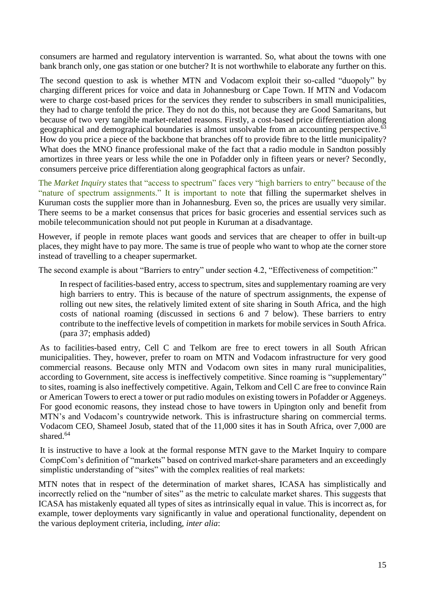consumers are harmed and regulatory intervention is warranted. So, what about the towns with one bank branch only, one gas station or one butcher? It is not worthwhile to elaborate any further on this.

The second question to ask is whether MTN and Vodacom exploit their so-called "duopoly" by charging different prices for voice and data in Johannesburg or Cape Town. If MTN and Vodacom were to charge cost-based prices for the services they render to subscribers in small municipalities, they had to charge tenfold the price. They do not do this, not because they are Good Samaritans, but because of two very tangible market-related reasons. Firstly, a cost-based price differentiation along geographical and demographical boundaries is almost unsolvable from an accounting perspective.<sup>63</sup> How do you price a piece of the backbone that branches off to provide fibre to the little municipality? What does the MNO finance professional make of the fact that a radio module in Sandton possibly amortizes in three years or less while the one in Pofadder only in fifteen years or never? Secondly, consumers perceive price differentiation along geographical factors as unfair.

The *Market Inquiry* states that "access to spectrum" faces very "high barriers to entry" because of the "nature of spectrum assignments." It is important to note that filling the supermarket shelves in Kuruman costs the supplier more than in Johannesburg. Even so, the prices are usually very similar. There seems to be a market consensus that prices for basic groceries and essential services such as mobile telecommunication should not put people in Kuruman at a disadvantage.

However, if people in remote places want goods and services that are cheaper to offer in built-up places, they might have to pay more. The same is true of people who want to whop ate the corner store instead of travelling to a cheaper supermarket.

The second example is about "Barriers to entry" under section 4.2, "Effectiveness of competition:"

In respect of facilities-based entry, access to spectrum, sites and supplementary roaming are very high barriers to entry. This is because of the nature of spectrum assignments, the expense of rolling out new sites, the relatively limited extent of site sharing in South Africa, and the high costs of national roaming (discussed in sections 6 and 7 below). These barriers to entry contribute to the ineffective levels of competition in markets for mobile services in South Africa. (para 37; emphasis added)

As to facilities-based entry, Cell C and Telkom are free to erect towers in all South African municipalities. They, however, prefer to roam on MTN and Vodacom infrastructure for very good commercial reasons. Because only MTN and Vodacom own sites in many rural municipalities, according to Government, site access is ineffectively competitive. Since roaming is "supplementary" to sites, roaming is also ineffectively competitive. Again, Telkom and Cell C are free to convince Rain or American Towers to erect a tower or put radio modules on existing towers in Pofadder or Aggeneys. For good economic reasons, they instead chose to have towers in Upington only and benefit from MTN's and Vodacom's countrywide network. This is infrastructure sharing on commercial terms. Vodacom CEO, Shameel Josub, stated that of the 11,000 sites it has in South Africa, over 7,000 are shared.<sup>64</sup>

It is instructive to have a look at the formal response MTN gave to the Market Inquiry to compare CompCom's definition of "markets" based on contrived market-share parameters and an exceedingly simplistic understanding of "sites" with the complex realities of real markets:

MTN notes that in respect of the determination of market shares, ICASA has simplistically and incorrectly relied on the "number of sites" as the metric to calculate market shares. This suggests that ICASA has mistakenly equated all types of sites as intrinsically equal in value. This is incorrect as, for example, tower deployments vary significantly in value and operational functionality, dependent on the various deployment criteria, including, *inter alia*: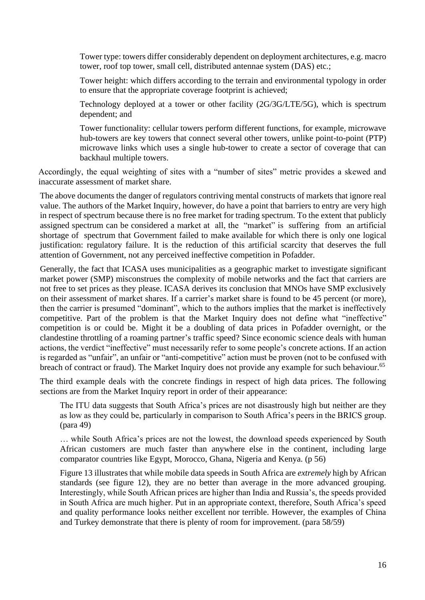Tower type: towers differ considerably dependent on deployment architectures, e.g. macro tower, roof top tower, small cell, distributed antennae system (DAS) etc.;

Tower height: which differs according to the terrain and environmental typology in order to ensure that the appropriate coverage footprint is achieved;

Technology deployed at a tower or other facility (2G/3G/LTE/5G), which is spectrum dependent; and

Tower functionality: cellular towers perform different functions, for example, microwave hub-towers are key towers that connect several other towers, unlike point-to-point (PTP) microwave links which uses a single hub-tower to create a sector of coverage that can backhaul multiple towers.

Accordingly, the equal weighting of sites with a "number of sites" metric provides a skewed and inaccurate assessment of market share.

The above documents the danger of regulators contriving mental constructs of markets that ignore real value. The authors of the Market Inquiry, however, do have a point that barriers to entry are very high in respect of spectrum because there is no free market for trading spectrum. To the extent that publicly assigned spectrum can be considered a market at all, the "market" is suffering from an artificial shortage of spectrum that Government failed to make available for which there is only one logical justification: regulatory failure. It is the reduction of this artificial scarcity that deserves the full attention of Government, not any perceived ineffective competition in Pofadder.

Generally, the fact that ICASA uses municipalities as a geographic market to investigate significant market power (SMP) misconstrues the complexity of mobile networks and the fact that carriers are not free to set prices as they please. ICASA derives its conclusion that MNOs have SMP exclusively on their assessment of market shares. If a carrier's market share is found to be 45 percent (or more), then the carrier is presumed "dominant", which to the authors implies that the market is ineffectively competitive. Part of the problem is that the Market Inquiry does not define what "ineffective" competition is or could be. Might it be a doubling of data prices in Pofadder overnight, or the clandestine throttling of a roaming partner's traffic speed? Since economic science deals with human actions, the verdict "ineffective" must necessarily refer to some people's concrete actions. If an action is regarded as "unfair", an unfair or "anti-competitive" action must be proven (not to be confused with breach of contract or fraud). The Market Inquiry does not provide any example for such behaviour.<sup>65</sup>

The third example deals with the concrete findings in respect of high data prices. The following sections are from the Market Inquiry report in order of their appearance:

The ITU data suggests that South Africa's prices are not disastrously high but neither are they as low as they could be, particularly in comparison to South Africa's peers in the BRICS group. (para 49)

… while South Africa's prices are not the lowest, the download speeds experienced by South African customers are much faster than anywhere else in the continent, including large comparator countries like Egypt, Morocco, Ghana, Nigeria and Kenya. (p 56)

Figure 13 illustrates that while mobile data speeds in South Africa are *extremely* high by African standards (see figure 12), they are no better than average in the more advanced grouping. Interestingly, while South African prices are higher than India and Russia's, the speeds provided in South Africa are much higher. Put in an appropriate context, therefore, South Africa's speed and quality performance looks neither excellent nor terrible. However, the examples of China and Turkey demonstrate that there is plenty of room for improvement. (para 58/59)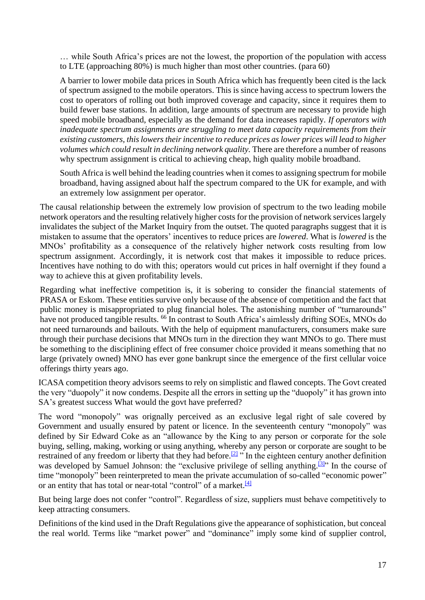… while South Africa's prices are not the lowest, the proportion of the population with access to LTE (approaching 80%) is much higher than most other countries. (para 60)

A barrier to lower mobile data prices in South Africa which has frequently been cited is the lack of spectrum assigned to the mobile operators. This is since having access to spectrum lowers the cost to operators of rolling out both improved coverage and capacity, since it requires them to build fewer base stations. In addition, large amounts of spectrum are necessary to provide high speed mobile broadband, especially as the demand for data increases rapidly. *If operators with inadequate spectrum assignments are struggling to meet data capacity requirements from their existing customers, this lowers their incentive to reduce prices as lower prices will lead to higher volumes which could result in declining network quality.* There are therefore a number of reasons why spectrum assignment is critical to achieving cheap, high quality mobile broadband.

South Africa is well behind the leading countries when it comes to assigning spectrum for mobile broadband, having assigned about half the spectrum compared to the UK for example, and with an extremely low assignment per operator.

The causal relationship between the extremely low provision of spectrum to the two leading mobile network operators and the resulting relatively higher costs for the provision of network services largely invalidates the subject of the Market Inquiry from the outset. The quoted paragraphs suggest that it is mistaken to assume that the operators' incentives to reduce prices are *lowered*. What is *lowered* is the MNOs' profitability as a consequence of the relatively higher network costs resulting from low spectrum assignment. Accordingly, it is network cost that makes it impossible to reduce prices. Incentives have nothing to do with this; operators would cut prices in half overnight if they found a way to achieve this at given profitability levels.

Regarding what ineffective competition is, it is sobering to consider the financial statements of PRASA or Eskom. These entities survive only because of the absence of competition and the fact that public money is misappropriated to plug financial holes. The astonishing number of "turnarounds" have not produced tangible results. <sup>66</sup> In contrast to South Africa's aimlessly drifting SOEs, MNOs do not need turnarounds and bailouts. With the help of equipment manufacturers, consumers make sure through their purchase decisions that MNOs turn in the direction they want MNOs to go. There must be something to the disciplining effect of free consumer choice provided it means something that no large (privately owned) MNO has ever gone bankrupt since the emergence of the first cellular voice offerings thirty years ago.

ICASA competition theory advisors seems to rely on simplistic and flawed concepts. The Govt created the very "duopoly" it now condems. Despite all the errors in setting up the "duopoly" it has grown into SA's greatest success What would the govt have preferred?

The word "monopoly" was orignally perceived as an exclusive legal right of sale covered by Government and usually ensured by patent or licence. In the seventeenth century "monopoly" was defined by Sir Edward Coke as an "allowance by the King to any person or corporate for the sole buying, selling, making, working or using anything, whereby any person or corporate are sought to be restrained of any freedom or liberty that they had before.<sup>[\[2\]](https://en.wikipedia.org/wiki/History_of_monopoly#cite_note-2)</sup> " In the eighteen century another definition was developed by Samuel Johnson: the "exclusive privilege of selling anything.<sup>[\[3\]](https://en.wikipedia.org/wiki/History_of_monopoly#cite_note-3)</sup>" In the course of time "monopoly" been reinterpreted to mean the private accumulation of so-called "economic power" or an entity that has total or near-total "control" of a market.<sup>[\[4\]](https://en.wikipedia.org/wiki/History_of_monopoly#cite_note-4)</sup>

But being large does not confer "control". Regardless of size, suppliers must behave competitively to keep attracting consumers.

Definitions of the kind used in the Draft Regulations give the appearance of sophistication, but conceal the real world. Terms like "market power" and "dominance" imply some kind of supplier control,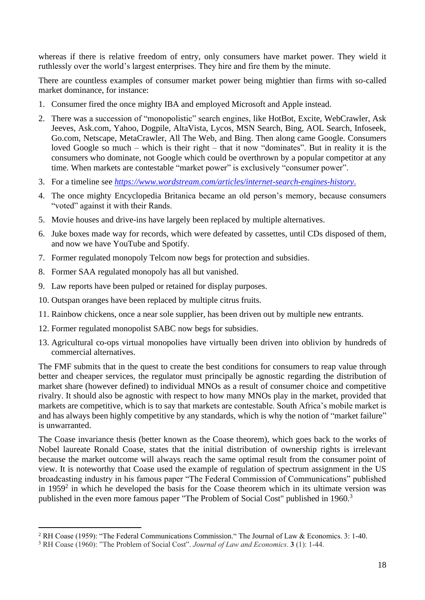whereas if there is relative freedom of entry, only consumers have market power. They wield it ruthlessly over the world's largest enterprises. They hire and fire them by the minute.

There are countless examples of consumer market power being mightier than firms with so-called market dominance, for instance:

- 1. Consumer fired the once mighty IBA and employed Microsoft and Apple instead.
- 2. There was a succession of "monopolistic" search engines, like HotBot, Excite, WebCrawler, Ask Jeeves, Ask.com, Yahoo, Dogpile, AltaVista, Lycos, MSN Search, Bing, AOL Search, Infoseek, Go.com, Netscape, MetaCrawler, All The Web, and Bing. Then along came Google. Consumers loved Google so much – which is their right – that it now "dominates". But in reality it is the consumers who dominate, not Google which could be overthrown by a popular competitor at any time. When markets are contestable "market power" is exclusively "consumer power".
- 3. For a timeline see *<https://www.wordstream.com/articles/internet-search-engines-history>*.
- 4. The once mighty Encyclopedia Britanica became an old person's memory, because consumers "voted" against it with their Rands.
- 5. Movie houses and drive-ins have largely been replaced by multiple alternatives.
- 6. Juke boxes made way for records, which were defeated by cassettes, until CDs disposed of them, and now we have YouTube and Spotify.
- 7. Former regulated monopoly Telcom now begs for protection and subsidies.
- 8. Former SAA regulated monopoly has all but vanished.
- 9. Law reports have been pulped or retained for display purposes.
- 10. Outspan oranges have been replaced by multiple citrus fruits.
- 11. Rainbow chickens, once a near sole supplier, has been driven out by multiple new entrants.
- 12. Former regulated monopolist SABC now begs for subsidies.
- 13. Agricultural co-ops virtual monopolies have virtually been driven into oblivion by hundreds of commercial alternatives.

The FMF submits that in the quest to create the best conditions for consumers to reap value through better and cheaper services, the regulator must principally be agnostic regarding the distribution of market share (however defined) to individual MNOs as a result of consumer choice and competitive rivalry. It should also be agnostic with respect to how many MNOs play in the market, provided that markets are competitive, which is to say that markets are contestable. South Africa's mobile market is and has always been highly competitive by any standards, which is why the notion of "market failure" is unwarranted.

The Coase invariance thesis (better known as the Coase theorem), which goes back to the works of Nobel laureate Ronald Coase, states that the initial distribution of ownership rights is irrelevant because the market outcome will always reach the same optimal result from the consumer point of view. It is noteworthy that Coase used the example of regulation of spectrum assignment in the US broadcasting industry in his famous paper "The Federal Commission of Communications" published in 1959 $2$  in which he developed the basis for the Coase theorem which in its ultimate version was published in the even more famous paper "The Problem of Social Cost" published in 1960.<sup>3</sup>

<sup>2</sup> RH Coase (1959): "The Federal Communications Commission." The Journal of Law & Economics. 3: 1-40.

<sup>3</sup> RH Coase (1960): "The Problem of Social Cost". *Journal of Law and Economics*. **3** (1): 1-44.